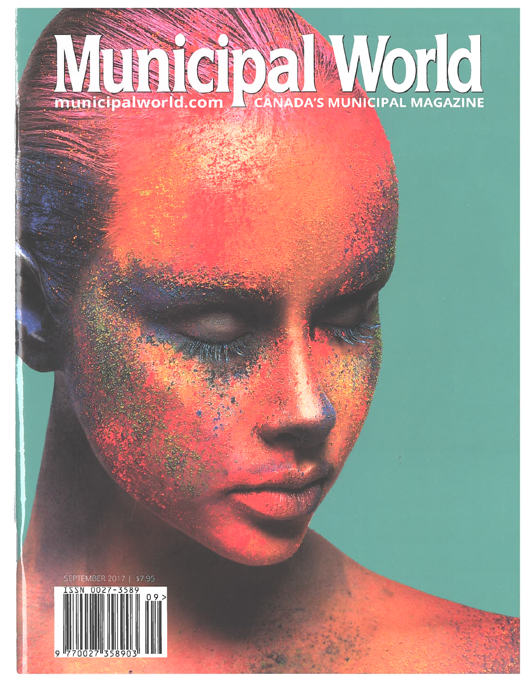## CANADA'S MUNICIPAL MAGAZINE **SALES** municipalworld.com

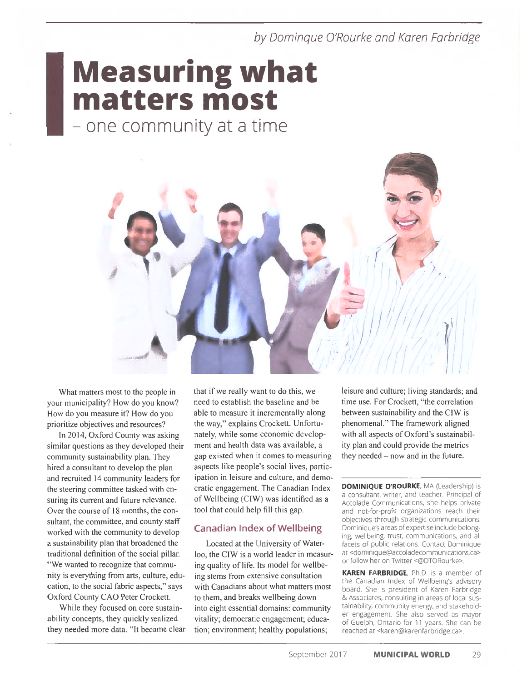by Domingue O'Rourke and Karen Farbridge

## **Measuring what** matters most

- one community at a time



What matters most to the people in your municipality? How do you know? How do you measure it? How do you prioritize objectives and resources?

In 2014, Oxford County was asking similar questions as they developed their community sustainability plan. They hired a consultant to develop the plan and recruited 14 community leaders for the steering committee tasked with ensuring its current and future relevance. Over the course of 18 months, the consultant, the committee, and county staff worked with the community to develop a sustainability plan that broadened the traditional definition of the social pillar. "We wanted to recognize that community is everything from arts, culture, education, to the social fabric aspects," says Oxford County CAO Peter Crockett.

While they focused on core sustainability concepts, they quickly realized they needed more data. "It became clear that if we really want to do this, we need to establish the baseline and be able to measure it incrementally along the way," explains Crockett. Unfortunately, while some economic development and health data was available, a gap existed when it comes to measuring aspects like people's social lives, participation in leisure and culture, and democratic engagement. The Canadian Index of Wellbeing (CIW) was identified as a tool that could help fill this gap.

#### **Canadian Index of Wellbeing**

Located at the University of Waterloo, the CIW is a world leader in measuring quality of life. Its model for wellbeing stems from extensive consultation with Canadians about what matters most to them, and breaks wellbeing down into eight essential domains: community vitality; democratic engagement; education; environment; healthy populations;

leisure and culture; living standards; and time use. For Crockett, "the correlation between sustainability and the CIW is phenomenal." The framework aligned with all aspects of Oxford's sustainability plan and could provide the metrics they needed -now and in the future.

**DOMINIQUE O'ROURKE, MA (Leadership) is** a consultant, writer, and teacher. Principal of Accolade Communications, she helps private and not-for-profit organizations reach their objectives through strategic communications. Dominique's areas of expertise include belonging, wellbeing, trust, communications, and all facets of public relations. Contact Dominique at <dominique@accoladecommunications.ca> or follow her on Twitter <@DTORourke>

KAREN FARBRIDGE, Ph.D. is a member of the Canadian Index of Wellbeing's advisory board. She is president of Karen Farbridge & Associates, consulting in areas of local sustainability, community energy, and stakeholder engagement. She also served as mayor of Guelph, Ontario for 11 years. She can be reached at <karen@karenfarbridge.ca>.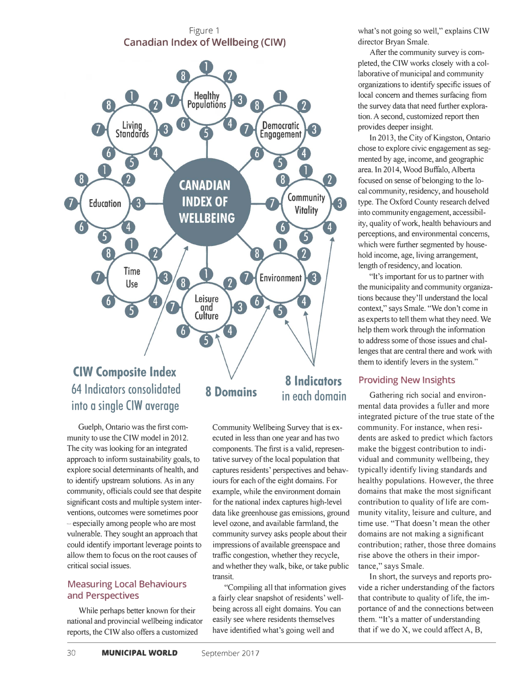Figure 1 **Canadian Index of Wellbeing (CIW)** 



# **into a single CIW average**

Guelph, Ontario was the first community to use the CIW model in 2012. The city was looking for an integrated approach to inform sustainability goals, to explore social detenninants of health, and to identify upstream solutions. As in any community, officials could see that despite significant costs and multiple system interventions, outcomes were sometimes poor - especially among people who are most vulnerable. They sought an approach that could identify important leverage points to allow them to focus on the root causes of critical social issues.

#### **Measuring Local Behaviours and Perspectives**

While perhaps better known for their national and provincial wellbeing indicator reports, the CIW also offers a customized

#### Community Wellbeing Survey that is executed in less than one year and has two components. The first is a valid, representative survey of the local population that captures residents' perspectives and behaviours for each of the eight domains. For example, while the environment domain for the national index captures high-level data like greenhouse gas emissions, ground level ozone, and available fannland, the community survey asks people about their impressions of available greenspace and traffic congestion, whether they recycle, and whether they walk, bike, or take public transit.

"Compiling all that infonnation gives a fairly clear snapshot of residents' wellbeing across all eight domains. You can easily see where residents themselves have identified what's going well and

what's not going so well," explains CIW director Bryan Smale.

After the community survey is completed, the CIW works closely with a collaborative of municipal and community organizations to identify specific issues of local concern and themes surfacing from the survey data that need further exploration. A second, customized report then provides deeper insight.

In 2013, the City of Kingston, Ontario chose to explore civic engagement as segmented by age, income, and geographic area. In 2014, Wood Buffalo, Alberta focused on sense of belonging to the local community, residency, and household type. The Oxford County research delved into community engagement, accessibility, quality of work, health behaviours and perceptions, and environmental concerns, which were further segmented by household income, age, living arrangement, length of residency, and location.

"It's important for us to partner with the municipality and community organizations because they'll understand the local context," says Smale. "We don't come in as experts to tell them what they need. We help them work through the information to address some of those issues and challenges that are central there and work with them to identify levers in the system."

#### **Providing New Insights**

Gathering rich social and environmental data provides a fuller and more integrated picture of the true state of the community. For instance, when residents are asked to predict which factors make the biggest contribution to individual and community wellbeing, they typically identify living standards and healthy populations. However, the three domains that make the most significant contribution to quality of life are community vitality, leisure and culture, and time use. "That doesn't mean the other domains are not making a significant contribution; rather, those three domains rise above the others in their importance," says Smale.

In short, the surveys and reports provide a richer understanding of the factors that contribute to quality of life, the importance of and the connections between them. "It's a matter of understanding that if we do X, we could affect A, B,